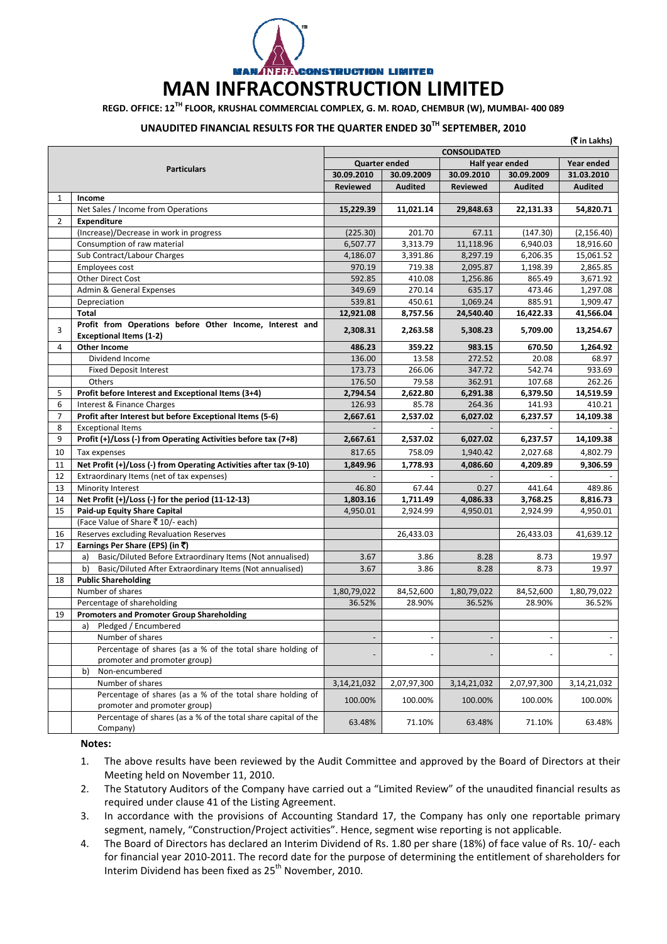**CONSTRUCTION LIMITED** 

## **MAN INFRACONSTRUCTION LIMITED**

**REGD. OFFICE: 12TH FLOOR, KRUSHAL COMMERCIAL COMPLEX, G. M. ROAD, CHEMBUR (W), MUMBAI‐ 400 089**

## **UNAUDITED FINANCIAL RESULTS FOR THE QUARTER ENDED 30TH SEPTEMBER, 2010**

|                |                                                                                            |                      |                |                 |                | (₹in Lakhs)    |  |
|----------------|--------------------------------------------------------------------------------------------|----------------------|----------------|-----------------|----------------|----------------|--|
|                |                                                                                            | <b>CONSOLIDATED</b>  |                |                 |                |                |  |
|                | <b>Particulars</b>                                                                         | <b>Quarter ended</b> |                | Half year ended |                | Year ended     |  |
|                |                                                                                            | 30.09.2010           | 30.09.2009     | 30.09.2010      | 30.09.2009     | 31.03.2010     |  |
|                |                                                                                            | Reviewed             | <b>Audited</b> | <b>Reviewed</b> | <b>Audited</b> | <b>Audited</b> |  |
| 1              | Income                                                                                     |                      |                |                 |                |                |  |
|                | Net Sales / Income from Operations                                                         | 15,229.39            | 11,021.14      | 29,848.63       | 22,131.33      | 54,820.71      |  |
| $\overline{2}$ | Expenditure                                                                                |                      |                |                 |                |                |  |
|                | (Increase)/Decrease in work in progress                                                    | (225.30)             | 201.70         | 67.11           | (147.30)       | (2, 156.40)    |  |
|                | Consumption of raw material                                                                | 6,507.77             | 3,313.79       | 11,118.96       | 6,940.03       | 18,916.60      |  |
|                | Sub Contract/Labour Charges                                                                | 4,186.07             | 3,391.86       | 8,297.19        | 6,206.35       | 15,061.52      |  |
|                | Employees cost                                                                             | 970.19               | 719.38         | 2,095.87        | 1,198.39       | 2,865.85       |  |
|                | Other Direct Cost                                                                          | 592.85               | 410.08         | 1,256.86        | 865.49         | 3,671.92       |  |
|                | Admin & General Expenses                                                                   | 349.69               | 270.14         | 635.17          | 473.46         | 1,297.08       |  |
|                | Depreciation                                                                               | 539.81               | 450.61         | 1,069.24        | 885.91         | 1,909.47       |  |
|                | Total                                                                                      | 12,921.08            | 8,757.56       | 24,540.40       | 16,422.33      | 41,566.04      |  |
| 3              | Profit from Operations before Other Income, Interest and<br><b>Exceptional Items (1-2)</b> | 2,308.31             | 2,263.58       | 5,308.23        | 5,709.00       | 13,254.67      |  |
| 4              | <b>Other Income</b>                                                                        | 486.23               | 359.22         | 983.15          | 670.50         | 1,264.92       |  |
|                | Dividend Income                                                                            | 136.00               | 13.58          | 272.52          | 20.08          | 68.97          |  |
|                | <b>Fixed Deposit Interest</b>                                                              | 173.73               | 266.06         | 347.72          | 542.74         | 933.69         |  |
|                | Others                                                                                     | 176.50               | 79.58          | 362.91          | 107.68         | 262.26         |  |
| 5              | Profit before Interest and Exceptional Items (3+4)                                         | 2,794.54             | 2,622.80       | 6,291.38        | 6,379.50       | 14,519.59      |  |
| 6              | Interest & Finance Charges                                                                 | 126.93               | 85.78          | 264.36          | 141.93         | 410.21         |  |
| $\overline{7}$ | Profit after Interest but before Exceptional Items (5-6)                                   | 2,667.61             | 2,537.02       | 6,027.02        | 6,237.57       | 14,109.38      |  |
| 8              | <b>Exceptional Items</b>                                                                   |                      |                |                 |                |                |  |
| 9              | Profit (+)/Loss (-) from Operating Activities before tax (7+8)                             | 2,667.61             | 2,537.02       | 6,027.02        | 6,237.57       | 14,109.38      |  |
| 10             | Tax expenses                                                                               | 817.65               | 758.09         | 1,940.42        | 2,027.68       | 4,802.79       |  |
| 11             | Net Profit (+)/Loss (-) from Operating Activities after tax (9-10)                         | 1,849.96             | 1,778.93       | 4,086.60        | 4,209.89       | 9,306.59       |  |
| 12             | Extraordinary Items (net of tax expenses)                                                  |                      |                |                 |                |                |  |
| 13             | Minority Interest                                                                          | 46.80                | 67.44          | 0.27            | 441.64         | 489.86         |  |
| 14             | Net Profit (+)/Loss (-) for the period (11-12-13)                                          | 1,803.16             | 1,711.49       | 4,086.33        | 3,768.25       | 8,816.73       |  |
| 15             | Paid-up Equity Share Capital                                                               | 4,950.01             | 2,924.99       | 4,950.01        | 2,924.99       | 4,950.01       |  |
|                | (Face Value of Share ₹10/- each)                                                           |                      |                |                 |                |                |  |
| 16             | Reserves excluding Revaluation Reserves                                                    |                      | 26,433.03      |                 | 26,433.03      | 41,639.12      |  |
| 17             | Earnings Per Share (EPS) (in ₹)                                                            |                      |                |                 |                |                |  |
|                | Basic/Diluted Before Extraordinary Items (Not annualised)<br>a)                            | 3.67                 | 3.86           | 8.28            | 8.73           | 19.97          |  |
|                | Basic/Diluted After Extraordinary Items (Not annualised)<br>b)                             | 3.67                 | 3.86           | 8.28            | 8.73           | 19.97          |  |
| 18             | <b>Public Shareholding</b>                                                                 |                      |                |                 |                |                |  |
|                | Number of shares                                                                           | 1,80,79,022          | 84,52,600      | 1,80,79,022     | 84,52,600      | 1,80,79,022    |  |
|                | Percentage of shareholding                                                                 | 36.52%               | 28.90%         | 36.52%          | 28.90%         | 36.52%         |  |
| 19             | <b>Promoters and Promoter Group Shareholding</b>                                           |                      |                |                 |                |                |  |
|                | Pledged / Encumbered<br>a)                                                                 |                      |                |                 |                |                |  |
|                | Number of shares                                                                           |                      |                |                 |                |                |  |
|                | Percentage of shares (as a % of the total share holding of                                 |                      |                |                 |                |                |  |
|                | promoter and promoter group)                                                               |                      |                |                 |                |                |  |
|                | Non-encumbered<br>b)                                                                       |                      |                |                 |                |                |  |
|                | Number of shares                                                                           | 3, 14, 21, 032       | 2,07,97,300    | 3, 14, 21, 032  | 2,07,97,300    | 3,14,21,032    |  |
|                | Percentage of shares (as a % of the total share holding of                                 |                      |                |                 |                |                |  |
|                | promoter and promoter group)                                                               | 100.00%              | 100.00%        | 100.00%         | 100.00%        | 100.00%        |  |
|                | Percentage of shares (as a % of the total share capital of the<br>Company)                 | 63.48%               | 71.10%         | 63.48%          | 71.10%         | 63.48%         |  |

**Notes:** 

- 1. The above results have been reviewed by the Audit Committee and approved by the Board of Directors at their Meeting held on November 11, 2010.
- 2. The Statutory Auditors of the Company have carried out a "Limited Review" of the unaudited financial results as required under clause 41 of the Listing Agreement.
- 3. In accordance with the provisions of Accounting Standard 17, the Company has only one reportable primary segment, namely, "Construction/Project activities". Hence, segment wise reporting is not applicable.
- 4. The Board of Directors has declared an Interim Dividend of Rs. 1.80 per share (18%) of face value of Rs. 10/‐ each for financial year 2010‐2011. The record date for the purpose of determining the entitlement of shareholders for Interim Dividend has been fixed as 25<sup>th</sup> November, 2010.